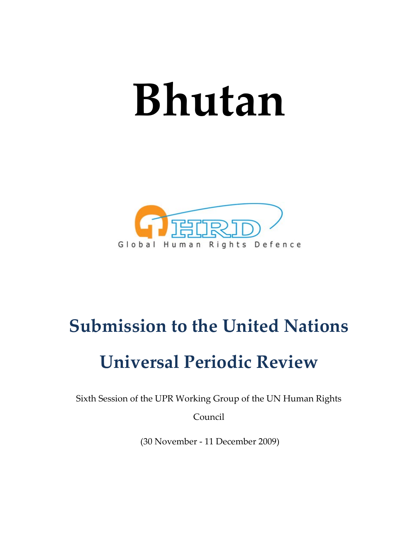# **Bhutan**



## **Submission to the United Nations**

# **Universal Periodic Review**

Sixth Session of the UPR Working Group of the UN Human Rights

Council

(30 November ‐ 11 December 2009)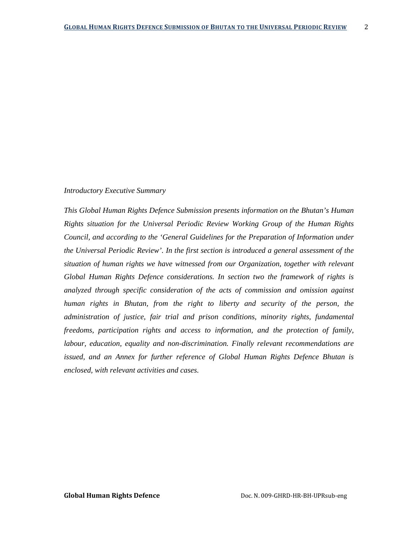#### *Introductory Executive Summary*

*This Global Human Rights Defence Submission presents information on the Bhutan's Human Rights situation for the Universal Periodic Review Working Group of the Human Rights Council, and according to the 'General Guidelines for the Preparation of Information under the Universal Periodic Review'. In the first section is introduced a general assessment of the situation of human rights we have witnessed from our Organization, together with relevant Global Human Rights Defence considerations. In section two the framework of rights is analyzed through specific consideration of the acts of commission and omission against human rights in Bhutan, from the right to liberty and security of the person, the administration of justice, fair trial and prison conditions, minority rights, fundamental freedoms, participation rights and access to information, and the protection of family, labour, education, equality and non-discrimination. Finally relevant recommendations are issued, and an Annex for further reference of Global Human Rights Defence Bhutan is enclosed, with relevant activities and cases.*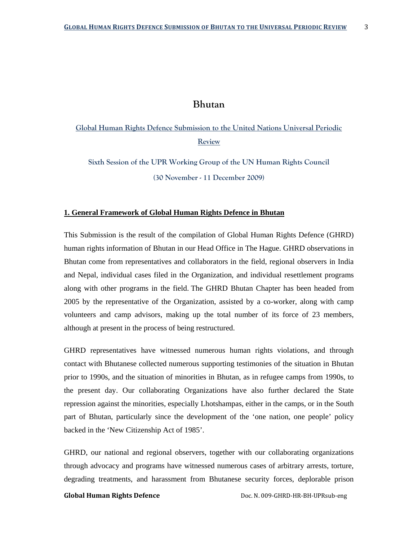### **Bhutan**

**Global Human Rights Defence Submission to the United Nations Universal Periodic Review**

**Sixth Session of the UPR Working Group of the UN Human Rights Council (30 November - 11 December 2009)** 

#### **1. General Framework of Global Human Rights Defence in Bhutan**

This Submission is the result of the compilation of Global Human Rights Defence (GHRD) human rights information of Bhutan in our Head Office in The Hague. GHRD observations in Bhutan come from representatives and collaborators in the field, regional observers in India and Nepal, individual cases filed in the Organization, and individual resettlement programs along with other programs in the field. The GHRD Bhutan Chapter has been headed from 2005 by the representative of the Organization, assisted by a co-worker, along with camp volunteers and camp advisors, making up the total number of its force of 23 members, although at present in the process of being restructured.

GHRD representatives have witnessed numerous human rights violations, and through contact with Bhutanese collected numerous supporting testimonies of the situation in Bhutan prior to 1990s, and the situation of minorities in Bhutan, as in refugee camps from 1990s, to the present day. Our collaborating Organizations have also further declared the State repression against the minorities, especially Lhotshampas, either in the camps, or in the South part of Bhutan, particularly since the development of the 'one nation, one people' policy backed in the 'New Citizenship Act of 1985'.

GHRD, our national and regional observers, together with our collaborating organizations through advocacy and programs have witnessed numerous cases of arbitrary arrests, torture, degrading treatments, and harassment from Bhutanese security forces, deplorable prison

**Global Human Rights Defence** Doc. N. 009‐GHRD‐HR‐BH‐UPRsub‐eng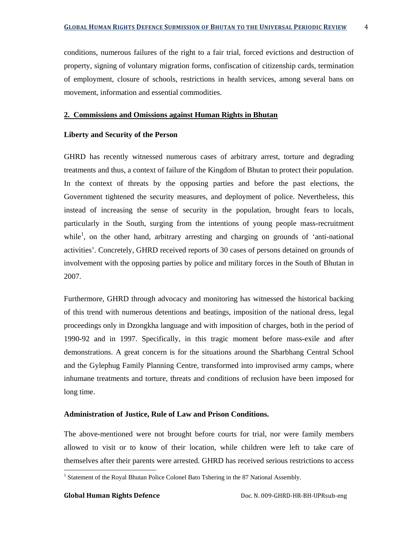conditions, numerous failures of the right to a fair trial, forced evictions and destruction of property, signing of voluntary migration forms, confiscation of citizenship cards, termination of employment, closure of schools, restrictions in health services, among several bans on movement, information and essential commodities.

#### **2. Commissions and Omissions against Human Rights in Bhutan**

#### **Liberty and Security of the Person**

GHRD has recently witnessed numerous cases of arbitrary arrest, torture and degrading treatments and thus, a context of failure of the Kingdom of Bhutan to protect their population. In the context of threats by the opposing parties and before the past elections, the Government tightened the security measures, and deployment of police. Nevertheless, this instead of increasing the sense of security in the population, brought fears to locals, particularly in the South, surging from the intentions of young people mass-recruitment while<sup>1</sup>, on the other hand, arbitrary arresting and charging on grounds of 'anti-national activities'. Concretely, GHRD received reports of 30 cases of persons detained on grounds of involvement with the opposing parties by police and military forces in the South of Bhutan in 2007.

Furthermore, GHRD through advocacy and monitoring has witnessed the historical backing of this trend with numerous detentions and beatings, imposition of the national dress, legal proceedings only in Dzongkha language and with imposition of charges, both in the period of 1990-92 and in 1997. Specifically, in this tragic moment before mass-exile and after demonstrations. A great concern is for the situations around the Sharbhang Central School and the Gylephug Family Planning Centre, transformed into improvised army camps, where inhumane treatments and torture, threats and conditions of reclusion have been imposed for long time.

#### **Administration of Justice, Rule of Law and Prison Conditions.**

The above-mentioned were not brought before courts for trial, nor were family members allowed to visit or to know of their location, while children were left to take care of themselves after their parents were arrested. GHRD has received serious restrictions to access

<sup>&</sup>lt;sup>1</sup> Statement of the Royal Bhutan Police Colonel Bato Tshering in the 87 National Assembly.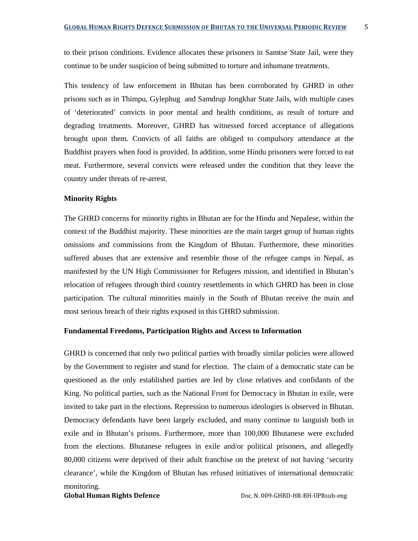to their prison conditions. Evidence allocates these prisoners in Samtse State Jail, were they continue to be under suspicion of being submitted to torture and inhumane treatments.

This tendency of law enforcement in Bhutan has been corroborated by GHRD in other prisons such as in Thimpu, Gylephug and Samdrup Jongkhar State Jails, with multiple cases of 'deteriorated' convicts in poor mental and health conditions, as result of torture and degrading treatments. Moreover, GHRD has witnessed forced acceptance of allegations brought upon them. Convicts of all faiths are obliged to compulsory attendance at the Buddhist prayers when food is provided. In addition, some Hindu prisoners were forced to eat meat. Furthermore, several convicts were released under the condition that they leave the country under threats of re-arrest.

#### **Minority Rights**

The GHRD concerns for minority rights in Bhutan are for the Hindu and Nepalese, within the context of the Buddhist majority. These minorities are the main target group of human rights omissions and commissions from the Kingdom of Bhutan. Furthermore, these minorities suffered abuses that are extensive and resemble those of the refugee camps in Nepal, as manifested by the UN High Commissioner for Refugees mission, and identified in Bhutan's relocation of refugees through third country resettlements in which GHRD has been in close participation. The cultural minorities mainly in the South of Bhutan receive the main and most serious breach of their rights exposed in this GHRD submission.

#### **Fundamental Freedoms, Participation Rights and Access to Information**

GHRD is concerned that only two political parties with broadly similar policies were allowed by the Government to register and stand for election. The claim of a democratic state can be questioned as the only established parties are led by close relatives and confidants of the King. No political parties, such as the National Front for Democracy in Bhutan in exile, were invited to take part in the elections. Repression to numerous ideologies is observed in Bhutan. Democracy defendants have been largely excluded, and many continue to languish both in exile and in Bhutan's prisons. Furthermore, more than 100,000 Bhutanese were excluded from the elections. Bhutanese refugees in exile and/or political prisoners, and allegedly 80,000 citizens were deprived of their adult franchise on the pretext of not having 'security clearance', while the Kingdom of Bhutan has refused initiatives of international democratic monitoring.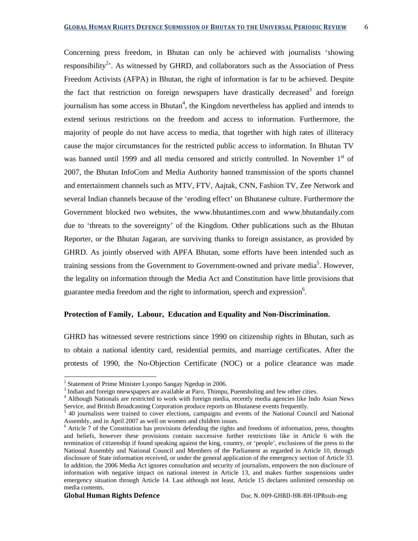Concerning press freedom, in Bhutan can only be achieved with journalists 'showing responsibility<sup>2</sup>. As witnessed by GHRD, and collaborators such as the Association of Press Freedom Activists (AFPA) in Bhutan, the right of information is far to be achieved. Despite the fact that restriction on foreign newspapers have drastically decreased<sup>3</sup> and foreign journalism has some access in Bhutan<sup>4</sup>, the Kingdom nevertheless has applied and intends to extend serious restrictions on the freedom and access to information. Furthermore, the majority of people do not have access to media, that together with high rates of illiteracy cause the major circumstances for the restricted public access to information. In Bhutan TV was banned until 1999 and all media censored and strictly controlled. In November 1<sup>st</sup> of 2007, the Bhutan InfoCom and Media Authority banned transmission of the sports channel and entertainment channels such as MTV, FTV, Aajtak, CNN, Fashion TV, Zee Network and several Indian channels because of the 'eroding effect' on Bhutanese culture. Furthermore the Government blocked two websites, the www.bhutantimes.com and www.bhutandaily.com due to 'threats to the sovereignty' of the Kingdom. Other publications such as the Bhutan Reporter, or the Bhutan Jagaran, are surviving thanks to foreign assistance, as provided by GHRD. As jointly observed with APFA Bhutan, some efforts have been intended such as training sessions from the Government to Government-owned and private media<sup>5</sup>. However, the legality on information through the Media Act and Constitution have little provisions that guarantee media freedom and the right to information, speech and expression $6$ .

#### **Protection of Family, Labour, Education and Equality and Non-Discrimination.**

GHRD has witnessed severe restrictions since 1990 on citizenship rights in Bhutan, such as to obtain a national identity card, residential permits, and marriage certificates. After the protests of 1990, the No-Objection Certificate (NOC) or a police clearance was made

<sup>&</sup>lt;sup>2</sup> Statement of Prime Minister Lyonpo Sangay Ngedup in 2006.

 $3$  Indian and foreign nnewspapers are available at Paro, Thimpu, Puentsholing and few other cities.

<sup>4</sup> Although Nationals are restricted to work with foreign media, recently media agencies like Indo Asian News Service, and British Broadcasting Corporation produce reports on Bhutanese events frequently.

<sup>&</sup>lt;sup>5</sup> 40 journalists were trained to cover elections, campaigns and events of the National Council and National Assembly, and in April 2007 as well on women and children issues.

<sup>&</sup>lt;sup>6</sup> Article 7 of the Constitution has provisions defending the rights and freedoms of information, press, thoughts and beliefs, however these provisions contain successive further restrictions like in Article 6 with the termination of citizenship if found speaking against the king, country, or 'people', exclusions of the press to the National Assembly and National Council and Members of the Parliament as regarded in Article 10, through disclosure of State information received, or under the general application of the emergency section of Article 33. In addition, the 2006 Media Act ignores consultation and security of journalists, empowers the non disclosure of information with negative impact on national interest in Article 13, and makes further suspensions under emergency situation through Article 14. Last although not least, Article 15 declares unlimited censorship on media contents.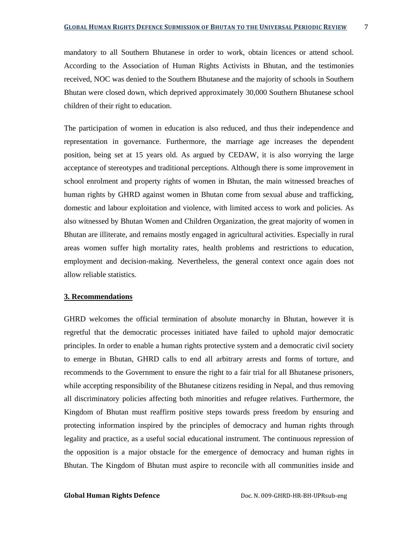mandatory to all Southern Bhutanese in order to work, obtain licences or attend school. According to the Association of Human Rights Activists in Bhutan, and the testimonies received, NOC was denied to the Southern Bhutanese and the majority of schools in Southern Bhutan were closed down, which deprived approximately 30,000 Southern Bhutanese school children of their right to education.

The participation of women in education is also reduced, and thus their independence and representation in governance. Furthermore, the marriage age increases the dependent position, being set at 15 years old. As argued by CEDAW, it is also worrying the large acceptance of stereotypes and traditional perceptions. Although there is some improvement in school enrolment and property rights of women in Bhutan, the main witnessed breaches of human rights by GHRD against women in Bhutan come from sexual abuse and trafficking, domestic and labour exploitation and violence, with limited access to work and policies. As also witnessed by Bhutan Women and Children Organization, the great majority of women in Bhutan are illiterate, and remains mostly engaged in agricultural activities. Especially in rural areas women suffer high mortality rates, health problems and restrictions to education, employment and decision-making. Nevertheless, the general context once again does not allow reliable statistics.

#### **3. Recommendations**

GHRD welcomes the official termination of absolute monarchy in Bhutan, however it is regretful that the democratic processes initiated have failed to uphold major democratic principles. In order to enable a human rights protective system and a democratic civil society to emerge in Bhutan, GHRD calls to end all arbitrary arrests and forms of torture, and recommends to the Government to ensure the right to a fair trial for all Bhutanese prisoners, while accepting responsibility of the Bhutanese citizens residing in Nepal, and thus removing all discriminatory policies affecting both minorities and refugee relatives. Furthermore, the Kingdom of Bhutan must reaffirm positive steps towards press freedom by ensuring and protecting information inspired by the principles of democracy and human rights through legality and practice, as a useful social educational instrument. The continuous repression of the opposition is a major obstacle for the emergence of democracy and human rights in Bhutan. The Kingdom of Bhutan must aspire to reconcile with all communities inside and